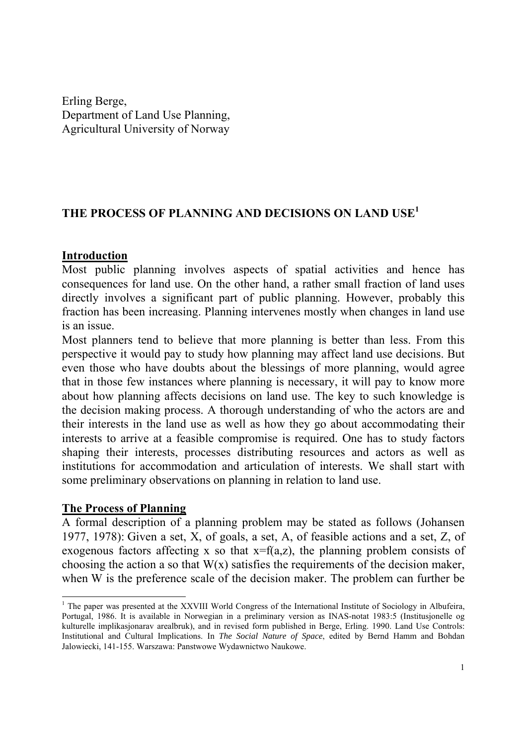Erling Berge, Department of Land Use Planning, Agricultural University of Norway

# **THE PROCESS OF PLANNING AND DECISIONS ON LAND USE<sup>1</sup>**

#### **Introduction**

Most public planning involves aspects of spatial activities and hence has consequences for land use. On the other hand, a rather small fraction of land uses directly involves a significant part of public planning. However, probably this fraction has been increasing. Planning intervenes mostly when changes in land use is an issue.

Most planners tend to believe that more planning is better than less. From this perspective it would pay to study how planning may affect land use decisions. But even those who have doubts about the blessings of more planning, would agree that in those few instances where planning is necessary, it will pay to know more about how planning affects decisions on land use. The key to such knowledge is the decision making process. A thorough understanding of who the actors are and their interests in the land use as well as how they go about accommodating their interests to arrive at a feasible compromise is required. One has to study factors shaping their interests, processes distributing resources and actors as well as institutions for accommodation and articulation of interests. We shall start with some preliminary observations on planning in relation to land use.

#### **The Process of Planning**

1

A formal description of a planning problem may be stated as follows (Johansen 1977, 1978): Given a set, X, of goals, a set, A, of feasible actions and a set, Z, of exogenous factors affecting x so that  $x=f(a,z)$ , the planning problem consists of choosing the action a so that  $W(x)$  satisfies the requirements of the decision maker, when W is the preference scale of the decision maker. The problem can further be

 $1$  The paper was presented at the XXVIII World Congress of the International Institute of Sociology in Albufeira, Portugal, 1986. It is available in Norwegian in a preliminary version as INAS-notat 1983:5 (Institusjonelle og kulturelle implikasjonarav arealbruk), and in revised form published in Berge, Erling. 1990. Land Use Controls: Institutional and Cultural Implications. In *The Social Nature of Space*, edited by Bernd Hamm and Bohdan Jalowiecki, 141-155. Warszawa: Panstwowe Wydawnictwo Naukowe.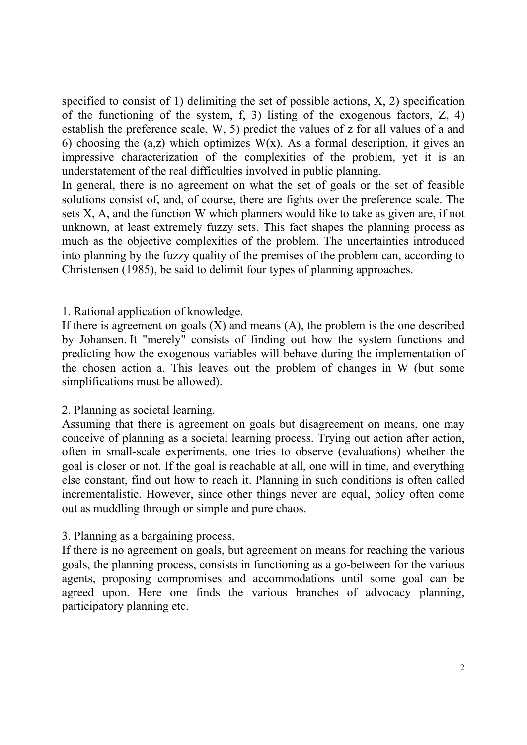specified to consist of 1) delimiting the set of possible actions, X, 2) specification of the functioning of the system, f, 3) listing of the exogenous factors, Z, 4) establish the preference scale, W, 5) predict the values of z for all values of a and 6) choosing the (a,z) which optimizes  $W(x)$ . As a formal description, it gives an impressive characterization of the complexities of the problem, yet it is an understatement of the real difficulties involved in public planning.

In general, there is no agreement on what the set of goals or the set of feasible solutions consist of, and, of course, there are fights over the preference scale. The sets X, A, and the function W which planners would like to take as given are, if not unknown, at least extremely fuzzy sets. This fact shapes the planning process as much as the objective complexities of the problem. The uncertainties introduced into planning by the fuzzy quality of the premises of the problem can, according to Christensen (1985), be said to delimit four types of planning approaches.

#### 1. Rational application of knowledge.

If there is agreement on goals  $(X)$  and means  $(A)$ , the problem is the one described by Johansen. It "merely" consists of finding out how the system functions and predicting how the exogenous variables will behave during the implementation of the chosen action a. This leaves out the problem of changes in W (but some simplifications must be allowed).

#### 2. Planning as societal learning.

Assuming that there is agreement on goals but disagreement on means, one may conceive of planning as a societal learning process. Trying out action after action, often in small-scale experiments, one tries to observe (evaluations) whether the goal is closer or not. If the goal is reachable at all, one will in time, and everything else constant, find out how to reach it. Planning in such conditions is often called incrementalistic. However, since other things never are equal, policy often come out as muddling through or simple and pure chaos.

3. Planning as a bargaining process.

If there is no agreement on goals, but agreement on means for reaching the various goals, the planning process, consists in functioning as a go-between for the various agents, proposing compromises and accommodations until some goal can be agreed upon. Here one finds the various branches of advocacy planning, participatory planning etc.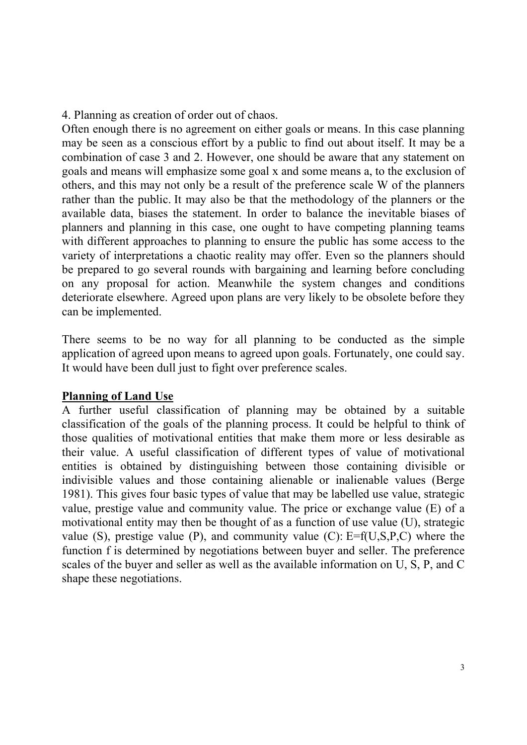4. Planning as creation of order out of chaos.

Often enough there is no agreement on either goals or means. In this case planning may be seen as a conscious effort by a public to find out about itself. It may be a combination of case 3 and 2. However, one should be aware that any statement on goals and means will emphasize some goal x and some means a, to the exclusion of others, and this may not only be a result of the preference scale W of the planners rather than the public. It may also be that the methodology of the planners or the available data, biases the statement. In order to balance the inevitable biases of planners and planning in this case, one ought to have competing planning teams with different approaches to planning to ensure the public has some access to the variety of interpretations a chaotic reality may offer. Even so the planners should be prepared to go several rounds with bargaining and learning before concluding on any proposal for action. Meanwhile the system changes and conditions deteriorate elsewhere. Agreed upon plans are very likely to be obsolete before they can be implemented.

There seems to be no way for all planning to be conducted as the simple application of agreed upon means to agreed upon goals. Fortunately, one could say. It would have been dull just to fight over preference scales.

## **Planning of Land Use**

A further useful classification of planning may be obtained by a suitable classification of the goals of the planning process. It could be helpful to think of those qualities of motivational entities that make them more or less desirable as their value. A useful classification of different types of value of motivational entities is obtained by distinguishing between those containing divisible or indivisible values and those containing alienable or inalienable values (Berge 1981). This gives four basic types of value that may be labelled use value, strategic value, prestige value and community value. The price or exchange value (E) of a motivational entity may then be thought of as a function of use value (U), strategic value (S), prestige value (P), and community value (C):  $E=f(U,S,P,C)$  where the function f is determined by negotiations between buyer and seller. The preference scales of the buyer and seller as well as the available information on U, S, P, and C shape these negotiations.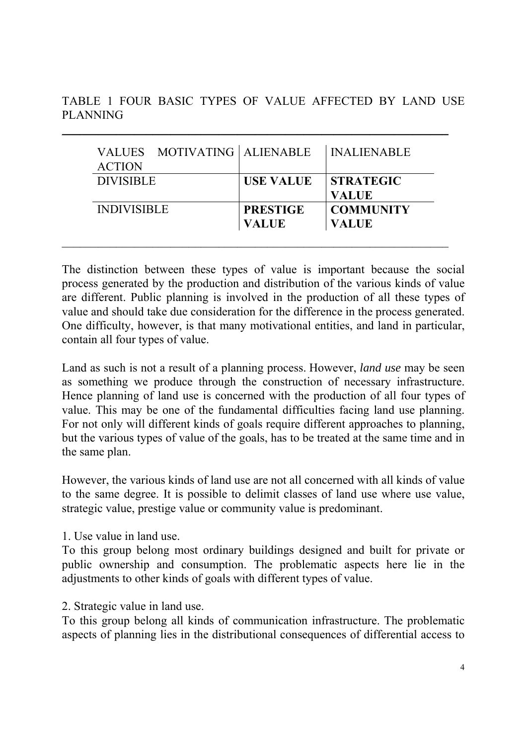TABLE 1 FOUR BASIC TYPES OF VALUE AFFECTED BY LAND USE PLANNING

\_\_\_\_\_\_\_\_\_\_\_\_\_\_\_\_\_\_\_\_\_\_\_\_\_\_\_\_\_\_\_\_\_\_\_\_\_\_\_\_\_\_\_\_\_\_\_\_\_\_\_\_\_\_\_\_\_\_\_\_\_\_\_\_

| MOTIVATING   ALIENABLE<br><b>VALUES</b><br><b>ACTION</b> |                          | <b>INALIENABLE</b>               |
|----------------------------------------------------------|--------------------------|----------------------------------|
| DIVISIBLE                                                | <b>USE VALUE</b>         | <b>STRATEGIC</b><br>VALUE        |
| <b>INDIVISIBLE</b>                                       | <b>PRESTIGE</b><br>VALUE | <b>COMMUNITY</b><br><b>VALUE</b> |

The distinction between these types of value is important because the social process generated by the production and distribution of the various kinds of value are different. Public planning is involved in the production of all these types of value and should take due consideration for the difference in the process generated. One difficulty, however, is that many motivational entities, and land in particular, contain all four types of value.

Land as such is not a result of a planning process. However, *land use* may be seen as something we produce through the construction of necessary infrastructure. Hence planning of land use is concerned with the production of all four types of value. This may be one of the fundamental difficulties facing land use planning. For not only will different kinds of goals require different approaches to planning, but the various types of value of the goals, has to be treated at the same time and in the same plan.

However, the various kinds of land use are not all concerned with all kinds of value to the same degree. It is possible to delimit classes of land use where use value, strategic value, prestige value or community value is predominant.

1. Use value in land use.

To this group belong most ordinary buildings designed and built for private or public ownership and consumption. The problematic aspects here lie in the adjustments to other kinds of goals with different types of value.

2. Strategic value in land use.

To this group belong all kinds of communication infrastructure. The problematic aspects of planning lies in the distributional consequences of differential access to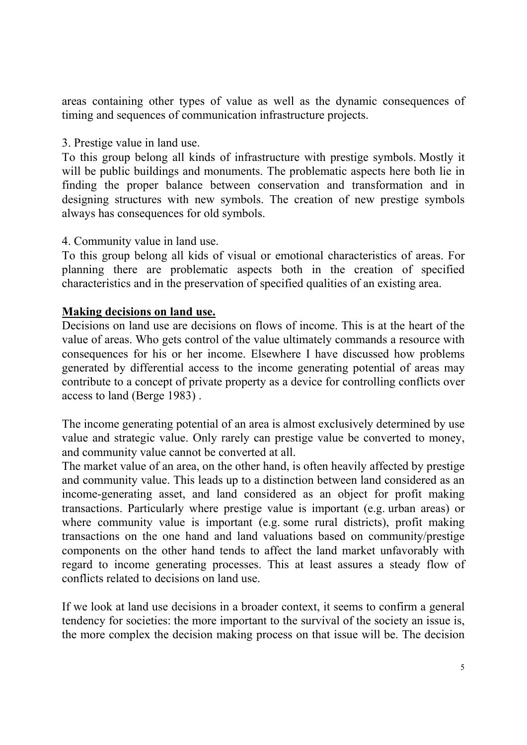areas containing other types of value as well as the dynamic consequences of timing and sequences of communication infrastructure projects.

3. Prestige value in land use.

To this group belong all kinds of infrastructure with prestige symbols. Mostly it will be public buildings and monuments. The problematic aspects here both lie in finding the proper balance between conservation and transformation and in designing structures with new symbols. The creation of new prestige symbols always has consequences for old symbols.

4. Community value in land use.

To this group belong all kids of visual or emotional characteristics of areas. For planning there are problematic aspects both in the creation of specified characteristics and in the preservation of specified qualities of an existing area.

### **Making decisions on land use.**

Decisions on land use are decisions on flows of income. This is at the heart of the value of areas. Who gets control of the value ultimately commands a resource with consequences for his or her income. Elsewhere I have discussed how problems generated by differential access to the income generating potential of areas may contribute to a concept of private property as a device for controlling conflicts over access to land (Berge 1983) .

The income generating potential of an area is almost exclusively determined by use value and strategic value. Only rarely can prestige value be converted to money, and community value cannot be converted at all.

The market value of an area, on the other hand, is often heavily affected by prestige and community value. This leads up to a distinction between land considered as an income-generating asset, and land considered as an object for profit making transactions. Particularly where prestige value is important (e.g. urban areas) or where community value is important (e.g. some rural districts), profit making transactions on the one hand and land valuations based on community/prestige components on the other hand tends to affect the land market unfavorably with regard to income generating processes. This at least assures a steady flow of conflicts related to decisions on land use.

If we look at land use decisions in a broader context, it seems to confirm a general tendency for societies: the more important to the survival of the society an issue is, the more complex the decision making process on that issue will be. The decision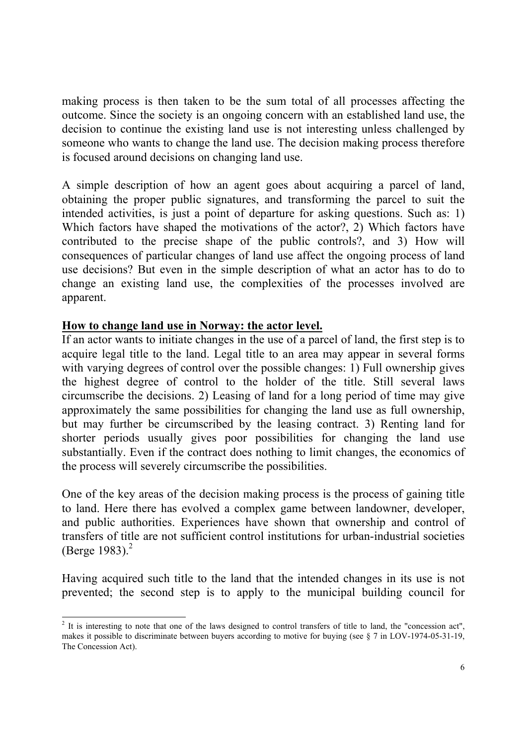making process is then taken to be the sum total of all processes affecting the outcome. Since the society is an ongoing concern with an established land use, the decision to continue the existing land use is not interesting unless challenged by someone who wants to change the land use. The decision making process therefore is focused around decisions on changing land use.

A simple description of how an agent goes about acquiring a parcel of land, obtaining the proper public signatures, and transforming the parcel to suit the intended activities, is just a point of departure for asking questions. Such as: 1) Which factors have shaped the motivations of the actor?, 2) Which factors have contributed to the precise shape of the public controls?, and 3) How will consequences of particular changes of land use affect the ongoing process of land use decisions? But even in the simple description of what an actor has to do to change an existing land use, the complexities of the processes involved are apparent.

### **How to change land use in Norway: the actor level.**

If an actor wants to initiate changes in the use of a parcel of land, the first step is to acquire legal title to the land. Legal title to an area may appear in several forms with varying degrees of control over the possible changes: 1) Full ownership gives the highest degree of control to the holder of the title. Still several laws circumscribe the decisions. 2) Leasing of land for a long period of time may give approximately the same possibilities for changing the land use as full ownership, but may further be circumscribed by the leasing contract. 3) Renting land for shorter periods usually gives poor possibilities for changing the land use substantially. Even if the contract does nothing to limit changes, the economics of the process will severely circumscribe the possibilities.

One of the key areas of the decision making process is the process of gaining title to land. Here there has evolved a complex game between landowner, developer, and public authorities. Experiences have shown that ownership and control of transfers of title are not sufficient control institutions for urban-industrial societies (Berge 1983). $^{2}$ 

Having acquired such title to the land that the intended changes in its use is not prevented; the second step is to apply to the municipal building council for

<sup>&</sup>lt;sup>2</sup> It is interesting to note that one of the laws designed to control transfers of title to land, the "concession act", makes it possible to discriminate between buyers according to motive for buying (see § 7 in LOV-1974-05-31-19, The Concession Act).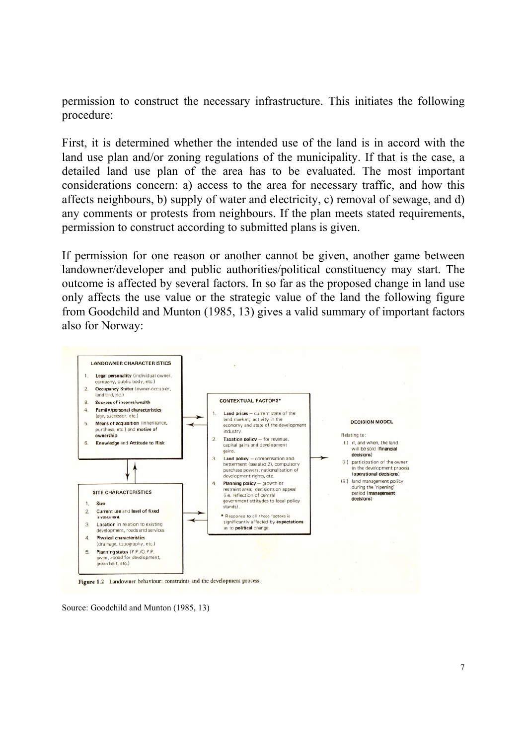permission to construct the necessary infrastructure. This initiates the following procedure:

First, it is determined whether the intended use of the land is in accord with the land use plan and/or zoning regulations of the municipality. If that is the case, a detailed land use plan of the area has to be evaluated. The most important considerations concern: a) access to the area for necessary traffic, and how this affects neighbours, b) supply of water and electricity, c) removal of sewage, and d) any comments or protests from neighbours. If the plan meets stated requirements, permission to construct according to submitted plans is given.

If permission for one reason or another cannot be given, another game between landowner/developer and public authorities/political constituency may start. The outcome is affected by several factors. In so far as the proposed change in land use only affects the use value or the strategic value of the land the following figure from Goodchild and Munton (1985, 13) gives a valid summary of important factors also for Norway:



Source: Goodchild and Munton (1985, 13)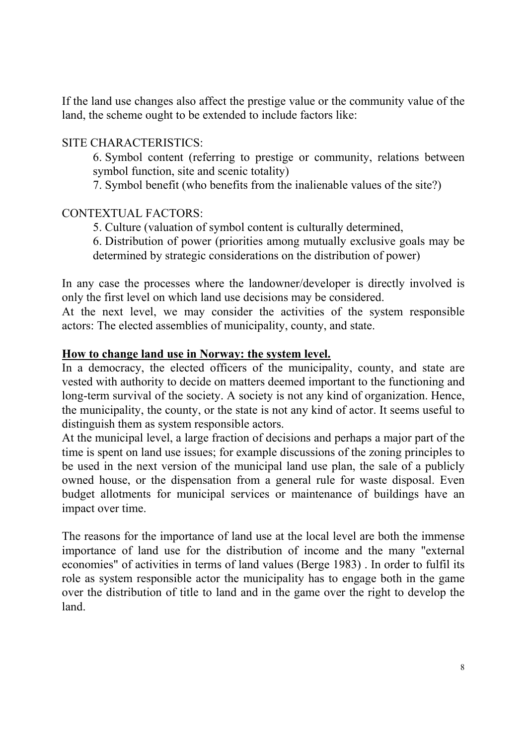If the land use changes also affect the prestige value or the community value of the land, the scheme ought to be extended to include factors like:

#### SITE CHARACTERISTICS:

6. Symbol content (referring to prestige or community, relations between symbol function, site and scenic totality)

7. Symbol benefit (who benefits from the inalienable values of the site?)

### CONTEXTUAL FACTORS:

5. Culture (valuation of symbol content is culturally determined,

6. Distribution of power (priorities among mutually exclusive goals may be determined by strategic considerations on the distribution of power)

In any case the processes where the landowner/developer is directly involved is only the first level on which land use decisions may be considered.

At the next level, we may consider the activities of the system responsible actors: The elected assemblies of municipality, county, and state.

#### **How to change land use in Norway: the system level.**

In a democracy, the elected officers of the municipality, county, and state are vested with authority to decide on matters deemed important to the functioning and long-term survival of the society. A society is not any kind of organization. Hence, the municipality, the county, or the state is not any kind of actor. It seems useful to distinguish them as system responsible actors.

At the municipal level, a large fraction of decisions and perhaps a major part of the time is spent on land use issues; for example discussions of the zoning principles to be used in the next version of the municipal land use plan, the sale of a publicly owned house, or the dispensation from a general rule for waste disposal. Even budget allotments for municipal services or maintenance of buildings have an impact over time.

The reasons for the importance of land use at the local level are both the immense importance of land use for the distribution of income and the many "external economies" of activities in terms of land values (Berge 1983) . In order to fulfil its role as system responsible actor the municipality has to engage both in the game over the distribution of title to land and in the game over the right to develop the land.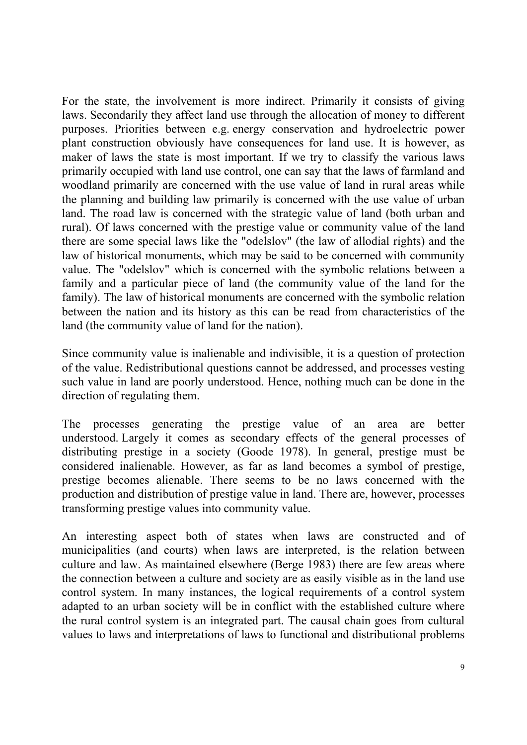For the state, the involvement is more indirect. Primarily it consists of giving laws. Secondarily they affect land use through the allocation of money to different purposes. Priorities between e.g. energy conservation and hydroelectric power plant construction obviously have consequences for land use. It is however, as maker of laws the state is most important. If we try to classify the various laws primarily occupied with land use control, one can say that the laws of farmland and woodland primarily are concerned with the use value of land in rural areas while the planning and building law primarily is concerned with the use value of urban land. The road law is concerned with the strategic value of land (both urban and rural). Of laws concerned with the prestige value or community value of the land there are some special laws like the "odelslov" (the law of allodial rights) and the law of historical monuments, which may be said to be concerned with community value. The "odelslov" which is concerned with the symbolic relations between a family and a particular piece of land (the community value of the land for the family). The law of historical monuments are concerned with the symbolic relation between the nation and its history as this can be read from characteristics of the land (the community value of land for the nation).

Since community value is inalienable and indivisible, it is a question of protection of the value. Redistributional questions cannot be addressed, and processes vesting such value in land are poorly understood. Hence, nothing much can be done in the direction of regulating them.

The processes generating the prestige value of an area are better understood. Largely it comes as secondary effects of the general processes of distributing prestige in a society (Goode 1978). In general, prestige must be considered inalienable. However, as far as land becomes a symbol of prestige, prestige becomes alienable. There seems to be no laws concerned with the production and distribution of prestige value in land. There are, however, processes transforming prestige values into community value.

An interesting aspect both of states when laws are constructed and of municipalities (and courts) when laws are interpreted, is the relation between culture and law. As maintained elsewhere (Berge 1983) there are few areas where the connection between a culture and society are as easily visible as in the land use control system. In many instances, the logical requirements of a control system adapted to an urban society will be in conflict with the established culture where the rural control system is an integrated part. The causal chain goes from cultural values to laws and interpretations of laws to functional and distributional problems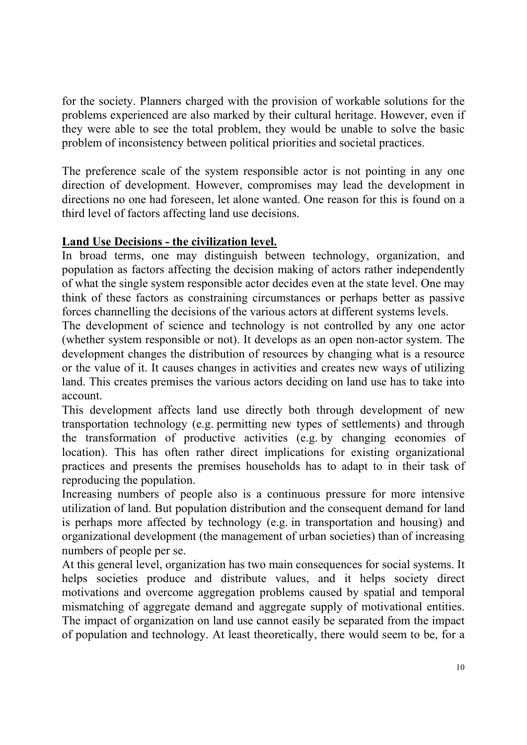for the society. Planners charged with the provision of workable solutions for the problems experienced are also marked by their cultural heritage. However, even if they were able to see the total problem, they would be unable to solve the basic problem of inconsistency between political priorities and societal practices.

The preference scale of the system responsible actor is not pointing in any one direction of development. However, compromises may lead the development in directions no one had foreseen, let alone wanted. One reason for this is found on a third level of factors affecting land use decisions.

## **Land Use Decisions - the civilization level.**

In broad terms, one may distinguish between technology, organization, and population as factors affecting the decision making of actors rather independently of what the single system responsible actor decides even at the state level. One may think of these factors as constraining circumstances or perhaps better as passive forces channelling the decisions of the various actors at different systems levels.

The development of science and technology is not controlled by any one actor (whether system responsible or not). It develops as an open non-actor system. The development changes the distribution of resources by changing what is a resource or the value of it. It causes changes in activities and creates new ways of utilizing land. This creates premises the various actors deciding on land use has to take into account.

This development affects land use directly both through development of new transportation technology (e.g. permitting new types of settlements) and through the transformation of productive activities (e.g. by changing economies of location). This has often rather direct implications for existing organizational practices and presents the premises households has to adapt to in their task of reproducing the population.

Increasing numbers of people also is a continuous pressure for more intensive utilization of land. But population distribution and the consequent demand for land is perhaps more affected by technology (e.g. in transportation and housing) and organizational development (the management of urban societies) than of increasing numbers of people per se.

At this general level, organization has two main consequences for social systems. It helps societies produce and distribute values, and it helps society direct motivations and overcome aggregation problems caused by spatial and temporal mismatching of aggregate demand and aggregate supply of motivational entities. The impact of organization on land use cannot easily be separated from the impact of population and technology. At least theoretically, there would seem to be, for a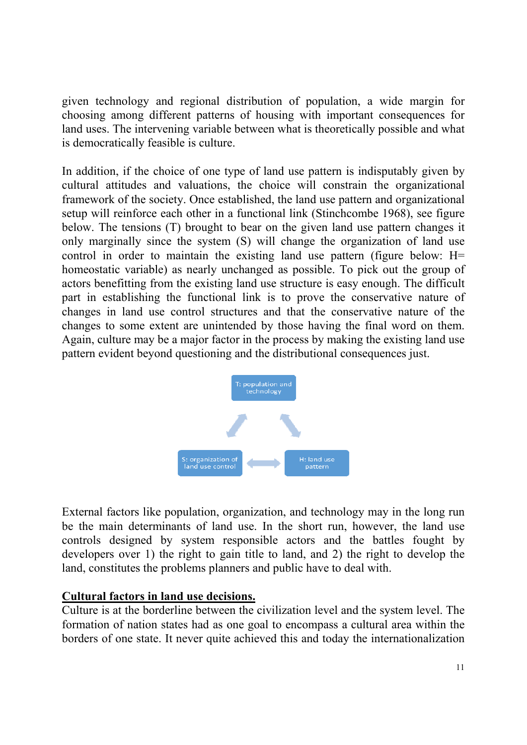given technology and regional distribution of population, a wide margin for choosing among different patterns of housing with important consequences for land uses. The intervening variable between what is theoretically possible and what is democratically feasible is culture.

In addition, if the choice of one type of land use pattern is indisputably given by cultural attitudes and valuations, the choice will constrain the organizational framework of the society. Once established, the land use pattern and organizational setup will reinforce each other in a functional link (Stinchcombe 1968), see figure below. The tensions (T) brought to bear on the given land use pattern changes it only marginally since the system (S) will change the organization of land use control in order to maintain the existing land use pattern (figure below: H= homeostatic variable) as nearly unchanged as possible. To pick out the group of actors benefitting from the existing land use structure is easy enough. The difficult part in establishing the functional link is to prove the conservative nature of changes in land use control structures and that the conservative nature of the changes to some extent are unintended by those having the final word on them. Again, culture may be a major factor in the process by making the existing land use pattern evident beyond questioning and the distributional consequences just.



External factors like population, organization, and technology may in the long run be the main determinants of land use. In the short run, however, the land use controls designed by system responsible actors and the battles fought by developers over 1) the right to gain title to land, and 2) the right to develop the land, constitutes the problems planners and public have to deal with.

#### **Cultural factors in land use decisions.**

Culture is at the borderline between the civilization level and the system level. The formation of nation states had as one goal to encompass a cultural area within the borders of one state. It never quite achieved this and today the internationalization